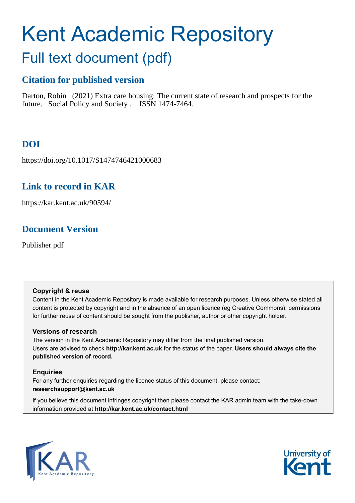# Kent Academic Repository

## Full text document (pdf)

## **Citation for published version**

Darton, Robin (2021) Extra care housing: The current state of research and prospects for the future. Social Policy and Society . ISSN 1474-7464.

## **DOI**

https://doi.org/10.1017/S1474746421000683

## **Link to record in KAR**

https://kar.kent.ac.uk/90594/

## **Document Version**

Publisher pdf

#### **Copyright & reuse**

Content in the Kent Academic Repository is made available for research purposes. Unless otherwise stated all content is protected by copyright and in the absence of an open licence (eg Creative Commons), permissions for further reuse of content should be sought from the publisher, author or other copyright holder.

#### **Versions of research**

The version in the Kent Academic Repository may differ from the final published version. Users are advised to check **http://kar.kent.ac.uk** for the status of the paper. **Users should always cite the published version of record.**

#### **Enquiries**

For any further enquiries regarding the licence status of this document, please contact: **researchsupport@kent.ac.uk**

If you believe this document infringes copyright then please contact the KAR admin team with the take-down information provided at **http://kar.kent.ac.uk/contact.html**



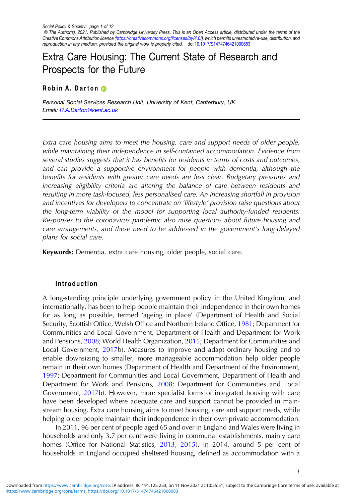Social Policy & Society: page 1 of 12 © The Author(s), 2021. Published by Cambridge University Press. This is an Open Access article, distributed under the terms of the Creative Commons Attribution licence [\(https://creativecommons.org/licenses/by/4.0/](https://creativecommons.org/licenses/by/4.0/)), which permits unrestricted re-use, distribution, and reproduction in any medium, provided the original work is properly cited. doi[:10.1017/S1474746421000683](https://doi.org/10.1017/S1474746421000683)

### Extra Care Housing: The Current State of Research and Prospects for the Future

#### Robin A. Darton

Personal Social Services Research Unit, University of Kent, Canterbury, UK Email: [R.A.Darton@kent.ac.uk](mailto:R.A.Darton@kent.ac.uk)

Extra care housing aims to meet the housing, care and support needs of older people, while maintaining their independence in self-contained accommodation. Evidence from several studies suggests that it has benefits for residents in terms of costs and outcomes, and can provide a supportive environment for people with dementia, although the benefits for residents with greater care needs are less clear. Budgetary pressures and increasing eligibility criteria are altering the balance of care between residents and resulting in more task-focused, less personalised care. An increasing shortfall in provision and incentives for developers to concentrate on 'lifestyle' provision raise questions about the long-term viability of the model for supporting local authority-funded residents. Responses to the coronavirus pandemic also raise questions about future housing and care arrangements, and these need to be addressed in the government's long-delayed plans for social care.

Keywords: Dementia, extra care housing, older people, social care.

#### Introduction

A long-standing principle underlying government policy in the United Kingdom, and internationally, has been to help people maintain their independence in their own homes for as long as possible, termed 'ageing in place' (Department of Health and Social Security, Scottish Office, Welsh Office and Northern Ireland Office, 1981; Department for Communities and Local Government, Department of Health and Department for Work and Pensions, 2008; World Health Organization, 2015; Department for Communities and Local Government, 2017b). Measures to improve and adapt ordinary housing and to enable downsizing to smaller, more manageable accommodation help older people remain in their own homes (Department of Health and Department of the Environment, 1997; Department for Communities and Local Government, Department of Health and Department for Work and Pensions, 2008; Department for Communities and Local Government, 2017b). However, more specialist forms of integrated housing with care have been developed where adequate care and support cannot be provided in mainstream housing. Extra care housing aims to meet housing, care and support needs, while helping older people maintain their independence in their own private accommodation.

In 2011, 96 per cent of people aged 65 and over in England and Wales were living in households and only 3.7 per cent were living in communal establishments, mainly care homes (Office for National Statistics, 2013, 2015). In 2014, around 5 per cent of households in England occupied sheltered housing, defined as accommodation with a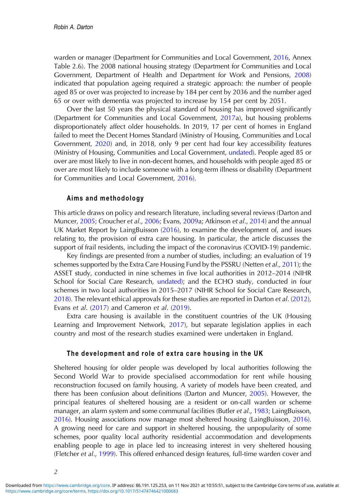warden or manager (Department for Communities and Local Government, 2016, Annex Table 2.6). The 2008 national housing strategy (Department for Communities and Local Government, Department of Health and Department for Work and Pensions, 2008) indicated that population ageing required a strategic approach: the number of people aged 85 or over was projected to increase by 184 per cent by 2036 and the number aged 65 or over with dementia was projected to increase by 154 per cent by 2051.

Over the last 50 years the physical standard of housing has improved significantly (Department for Communities and Local Government, 2017a), but housing problems disproportionately affect older households. In 2019, 17 per cent of homes in England failed to meet the Decent Homes Standard (Ministry of Housing, Communities and Local Government, 2020) and, in 2018, only 9 per cent had four key accessibility features (Ministry of Housing, Communities and Local Government, undated). People aged 85 or over are most likely to live in non-decent homes, and households with people aged 85 or over are most likely to include someone with a long-term illness or disability (Department for Communities and Local Government, 2016).

#### Aims and methodology

This article draws on policy and research literature, including several reviews (Darton and Muncer, 2005; Croucher et al., 2006; Evans, 2009a; Atkinson et al., 2014) and the annual UK Market Report by LaingBuisson (2016), to examine the development of, and issues relating to, the provision of extra care housing. In particular, the article discusses the support of frail residents, including the impact of the coronavirus (COVID-19) pandemic.

Key findings are presented from a number of studies, including: an evaluation of 19 schemes supported by the Extra Care Housing Fund by the PSSRU (Netten et al., 2011); the ASSET study, conducted in nine schemes in five local authorities in 2012–2014 (NIHR School for Social Care Research, undated); and the ECHO study, conducted in four schemes in two local authorities in 2015–2017 (NIHR School for Social Care Research, 2018). The relevant ethical approvals for these studies are reported in Darton et al. (2012), Evans et al. (2017) and Cameron et al. (2019).

Extra care housing is available in the constituent countries of the UK (Housing Learning and Improvement Network, 2017), but separate legislation applies in each country and most of the research studies examined were undertaken in England.

#### The development and role of extra care housing in the UK

Sheltered housing for older people was developed by local authorities following the Second World War to provide specialised accommodation for rent while housing reconstruction focused on family housing. A variety of models have been created, and there has been confusion about definitions (Darton and Muncer, 2005). However, the principal features of sheltered housing are a resident or on-call warden or scheme manager, an alarm system and some communal facilities (Butler et al., 1983; LaingBuisson, 2016). Housing associations now manage most sheltered housing (LaingBuisson, 2016). A growing need for care and support in sheltered housing, the unpopularity of some schemes, poor quality local authority residential accommodation and developments enabling people to age in place led to increasing interest in very sheltered housing (Fletcher et al., 1999). This offered enhanced design features, full-time warden cover and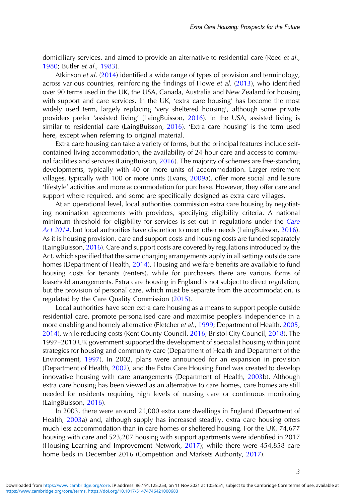domiciliary services, and aimed to provide an alternative to residential care (Reed et al., 1980; Butler et al., 1983).

Atkinson et al. (2014) identified a wide range of types of provision and terminology, across various countries, reinforcing the findings of Howe et al. (2013), who identified over 90 terms used in the UK, the USA, Canada, Australia and New Zealand for housing with support and care services. In the UK, 'extra care housing' has become the most widely used term, largely replacing 'very sheltered housing', although some private providers prefer 'assisted living' (LaingBuisson, 2016). In the USA, assisted living is similar to residential care (LaingBuisson, 2016). 'Extra care housing' is the term used here, except when referring to original material.

Extra care housing can take a variety of forms, but the principal features include selfcontained living accommodation, the availability of 24-hour care and access to communal facilities and services (LaingBuisson, 2016). The majority of schemes are free-standing developments, typically with 40 or more units of accommodation. Larger retirement villages, typically with 100 or more units (Evans, 2009a), offer more social and leisure 'lifestyle' activities and more accommodation for purchase. However, they offer care and support where required, and some are specifically designed as extra care villages.

At an operational level, local authorities commission extra care housing by negotiating nomination agreements with providers, specifying eligibility criteria. A national minimum threshold for eligibility for services is set out in regulations under the Care Act 2014, but local authorities have discretion to meet other needs (LaingBuisson, 2016). As it is housing provision, care and support costs and housing costs are funded separately (LaingBuisson, 2016). Care and support costs are covered by regulations introduced by the Act, which specified that the same charging arrangements apply in all settings outside care homes (Department of Health, 2014). Housing and welfare benefits are available to fund housing costs for tenants (renters), while for purchasers there are various forms of leasehold arrangements. Extra care housing in England is not subject to direct regulation, but the provision of personal care, which must be separate from the accommodation, is regulated by the Care Quality Commission (2015).

Local authorities have seen extra care housing as a means to support people outside residential care, promote personalised care and maximise people's independence in a more enabling and homely alternative (Fletcher et al., 1999; Department of Health, 2005, 2014), while reducing costs (Kent County Council, 2016; Bristol City Council, 2018). The 1997–2010 UK government supported the development of specialist housing within joint strategies for housing and community care (Department of Health and Department of the Environment, 1997). In 2002, plans were announced for an expansion in provision (Department of Health, 2002), and the Extra Care Housing Fund was created to develop innovative housing with care arrangements (Department of Health, 2003b). Although extra care housing has been viewed as an alternative to care homes, care homes are still needed for residents requiring high levels of nursing care or continuous monitoring (LaingBuisson, 2016).

In 2003, there were around 21,000 extra care dwellings in England (Department of Health, 2003a) and, although supply has increased steadily, extra care housing offers much less accommodation than in care homes or sheltered housing. For the UK, 74,677 housing with care and 523,207 housing with support apartments were identified in 2017 (Housing Learning and Improvement Network, 2017); while there were 454,858 care home beds in December 2016 (Competition and Markets Authority, 2017).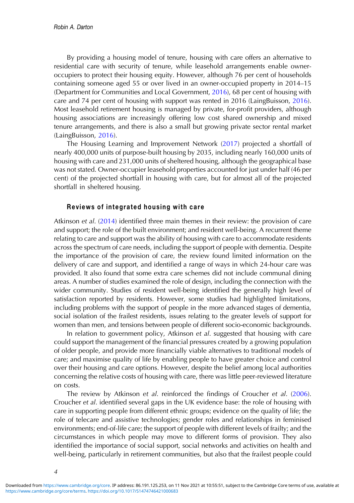By providing a housing model of tenure, housing with care offers an alternative to residential care with security of tenure, while leasehold arrangements enable owneroccupiers to protect their housing equity. However, although 76 per cent of households containing someone aged 55 or over lived in an owner-occupied property in 2014–15 (Department for Communities and Local Government, 2016), 68 per cent of housing with care and 74 per cent of housing with support was rented in 2016 (LaingBuisson, 2016). Most leasehold retirement housing is managed by private, for-profit providers, although housing associations are increasingly offering low cost shared ownership and mixed tenure arrangements, and there is also a small but growing private sector rental market (LaingBuisson, 2016).

The Housing Learning and Improvement Network (2017) projected a shortfall of nearly 400,000 units of purpose-built housing by 2035, including nearly 160,000 units of housing with care and 231,000 units of sheltered housing, although the geographical base was not stated. Owner-occupier leasehold properties accounted for just under half (46 per cent) of the projected shortfall in housing with care, but for almost all of the projected shortfall in sheltered housing.

#### Reviews of integrated housing with care

Atkinson et al. (2014) identified three main themes in their review: the provision of care and support; the role of the built environment; and resident well-being. A recurrent theme relating to care and support was the ability of housing with care to accommodate residents across the spectrum of care needs, including the support of people with dementia. Despite the importance of the provision of care, the review found limited information on the delivery of care and support, and identified a range of ways in which 24-hour care was provided. It also found that some extra care schemes did not include communal dining areas. A number of studies examined the role of design, including the connection with the wider community. Studies of resident well-being identified the generally high level of satisfaction reported by residents. However, some studies had highlighted limitations, including problems with the support of people in the more advanced stages of dementia, social isolation of the frailest residents, issues relating to the greater levels of support for women than men, and tensions between people of different socio-economic backgrounds.

In relation to government policy, Atkinson et al. suggested that housing with care could support the management of the financial pressures created by a growing population of older people, and provide more financially viable alternatives to traditional models of care; and maximise quality of life by enabling people to have greater choice and control over their housing and care options. However, despite the belief among local authorities concerning the relative costs of housing with care, there was little peer-reviewed literature on costs.

The review by Atkinson et al. reinforced the findings of Croucher et al. (2006). Croucher et al. identified several gaps in the UK evidence base: the role of housing with care in supporting people from different ethnic groups; evidence on the quality of life; the role of telecare and assistive technologies; gender roles and relationships in feminised environments; end-of-life care; the support of people with different levels of frailty; and the circumstances in which people may move to different forms of provision. They also identified the importance of social support, social networks and activities on health and well-being, particularly in retirement communities, but also that the frailest people could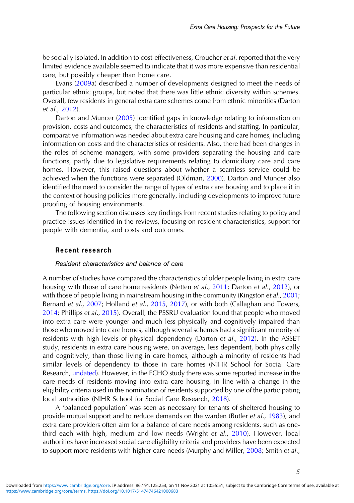be socially isolated. In addition to cost-effectiveness, Croucher et al. reported that the very limited evidence available seemed to indicate that it was more expensive than residential care, but possibly cheaper than home care.

Evans (2009a) described a number of developments designed to meet the needs of particular ethnic groups, but noted that there was little ethnic diversity within schemes. Overall, few residents in general extra care schemes come from ethnic minorities (Darton et al., 2012).

Darton and Muncer (2005) identified gaps in knowledge relating to information on provision, costs and outcomes, the characteristics of residents and staffing. In particular, comparative information was needed about extra care housing and care homes, including information on costs and the characteristics of residents. Also, there had been changes in the roles of scheme managers, with some providers separating the housing and care functions, partly due to legislative requirements relating to domiciliary care and care homes. However, this raised questions about whether a seamless service could be achieved when the functions were separated (Oldman, 2000). Darton and Muncer also identified the need to consider the range of types of extra care housing and to place it in the context of housing policies more generally, including developments to improve future proofing of housing environments.

The following section discusses key findings from recent studies relating to policy and practice issues identified in the reviews, focusing on resident characteristics, support for people with dementia, and costs and outcomes.

#### Recent research

#### Resident characteristics and balance of care

A number of studies have compared the characteristics of older people living in extra care housing with those of care home residents (Netten et al., 2011; Darton et al., 2012), or with those of people living in mainstream housing in the community (Kingston et al., 2001; Bernard et al., 2007; Holland et al., 2015, 2017), or with both (Callaghan and Towers, 2014; Phillips et al., 2015). Overall, the PSSRU evaluation found that people who moved into extra care were younger and much less physically and cognitively impaired than those who moved into care homes, although several schemes had a significant minority of residents with high levels of physical dependency (Darton et al., 2012). In the ASSET study, residents in extra care housing were, on average, less dependent, both physically and cognitively, than those living in care homes, although a minority of residents had similar levels of dependency to those in care homes (NIHR School for Social Care Research, undated). However, in the ECHO study there was some reported increase in the care needs of residents moving into extra care housing, in line with a change in the eligibility criteria used in the nomination of residents supported by one of the participating local authorities (NIHR School for Social Care Research, 2018).

A 'balanced population' was seen as necessary for tenants of sheltered housing to provide mutual support and to reduce demands on the warden (Butler et al., 1983), and extra care providers often aim for a balance of care needs among residents, such as onethird each with high, medium and low needs (Wright et al., 2010). However, local authorities have increased social care eligibility criteria and providers have been expected to support more residents with higher care needs (Murphy and Miller, 2008; Smith et al.,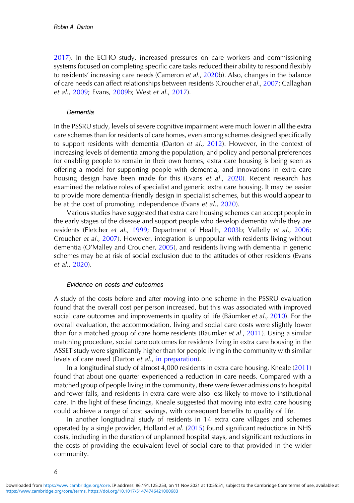2017). In the ECHO study, increased pressures on care workers and commissioning systems focused on completing specific care tasks reduced their ability to respond flexibly to residents' increasing care needs (Cameron et al., 2020b). Also, changes in the balance of care needs can affect relationships between residents (Croucher et al., 2007; Callaghan et al., 2009; Evans, 2009b; West et al., 2017).

#### Dementia

In the PSSRU study, levels of severe cognitive impairment were much lower in all the extra care schemes than for residents of care homes, even among schemes designed specifically to support residents with dementia (Darton et al., 2012). However, in the context of increasing levels of dementia among the population, and policy and personal preferences for enabling people to remain in their own homes, extra care housing is being seen as offering a model for supporting people with dementia, and innovations in extra care housing design have been made for this (Evans et al., 2020). Recent research has examined the relative roles of specialist and generic extra care housing. It may be easier to provide more dementia-friendly design in specialist schemes, but this would appear to be at the cost of promoting independence (Evans et al., 2020).

Various studies have suggested that extra care housing schemes can accept people in the early stages of the disease and support people who develop dementia while they are residents (Fletcher et al., 1999; Department of Health, 2003b; Vallelly et al., 2006; Croucher et al., 2007). However, integration is unpopular with residents living without dementia (O'Malley and Croucher, 2005), and residents living with dementia in generic schemes may be at risk of social exclusion due to the attitudes of other residents (Evans et al., 2020).

#### Evidence on costs and outcomes

A study of the costs before and after moving into one scheme in the PSSRU evaluation found that the overall cost per person increased, but this was associated with improved social care outcomes and improvements in quality of life (Bäumker et al., 2010). For the overall evaluation, the accommodation, living and social care costs were slightly lower than for a matched group of care home residents (Bäumker et al., 2011). Using a similar matching procedure, social care outcomes for residents living in extra care housing in the ASSET study were significantly higher than for people living in the community with similar levels of care need (Darton et al., in preparation).

In a longitudinal study of almost 4,000 residents in extra care housing, Kneale (2011) found that about one quarter experienced a reduction in care needs. Compared with a matched group of people living in the community, there were fewer admissions to hospital and fewer falls, and residents in extra care were also less likely to move to institutional care. In the light of these findings, Kneale suggested that moving into extra care housing could achieve a range of cost savings, with consequent benefits to quality of life.

In another longitudinal study of residents in 14 extra care villages and schemes operated by a single provider, Holland et al. (2015) found significant reductions in NHS costs, including in the duration of unplanned hospital stays, and significant reductions in the costs of providing the equivalent level of social care to that provided in the wider community.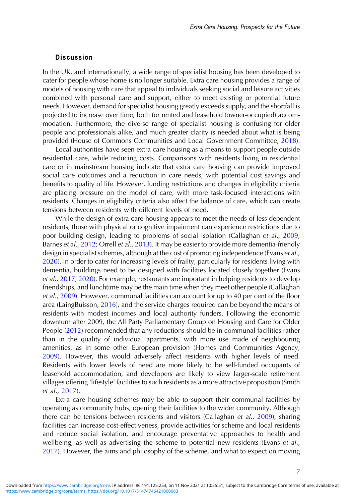#### Discussion

In the UK, and internationally, a wide range of specialist housing has been developed to cater for people whose home is no longer suitable. Extra care housing provides a range of models of housing with care that appeal to individuals seeking social and leisure activities combined with personal care and support, either to meet existing or potential future needs. However, demand for specialist housing greatly exceeds supply, and the shortfall is projected to increase over time, both for rented and leasehold (owner-occupied) accommodation. Furthermore, the diverse range of specialist housing is confusing for older people and professionals alike, and much greater clarity is needed about what is being provided (House of Commons Communities and Local Government Committee, 2018).

Local authorities have seen extra care housing as a means to support people outside residential care, while reducing costs. Comparisons with residents living in residential care or in mainstream housing indicate that extra care housing can provide improved social care outcomes and a reduction in care needs, with potential cost savings and benefits to quality of life. However, funding restrictions and changes in eligibility criteria are placing pressure on the model of care, with more task-focused interactions with residents. Changes in eligibility criteria also affect the balance of care, which can create tensions between residents with different levels of need.

While the design of extra care housing appears to meet the needs of less dependent residents, those with physical or cognitive impairment can experience restrictions due to poor building design, leading to problems of social isolation (Callaghan et al., 2009; Barnes et al., 2012; Orrell et al., 2013). It may be easier to provide more dementia-friendly design in specialist schemes, although at the cost of promoting independence (Evans et al., 2020). In order to cater for increasing levels of frailty, particularly for residents living with dementia, buildings need to be designed with facilities located closely together (Evans et al., 2017, 2020). For example, restaurants are important in helping residents to develop friendships, and lunchtime may be the main time when they meet other people (Callaghan et al., 2009). However, communal facilities can account for up to 40 per cent of the floor area (LaingBuisson, 2016), and the service charges required can be beyond the means of residents with modest incomes and local authority funders. Following the economic downturn after 2009, the All Party Parliamentary Group on Housing and Care for Older People (2012) recommended that any reductions should be in communal facilities rather than in the quality of individual apartments, with more use made of neighbouring amenities, as in some other European provision (Homes and Communities Agency, 2009). However, this would adversely affect residents with higher levels of need. Residents with lower levels of need are more likely to be self-funded occupants of leasehold accommodation, and developers are likely to view larger-scale retirement villages offering 'lifestyle' facilities to such residents as a more attractive proposition (Smith et al., 2017).

Extra care housing schemes may be able to support their communal facilities by operating as community hubs, opening their facilities to the wider community. Although there can be tensions between residents and visitors (Callaghan et al., 2009), sharing facilities can increase cost-effectiveness, provide activities for scheme and local residents and reduce social isolation, and encourage preventative approaches to health and wellbeing, as well as advertising the scheme to potential new residents (Evans et al., 2017). However, the aims and philosophy of the scheme, and what to expect on moving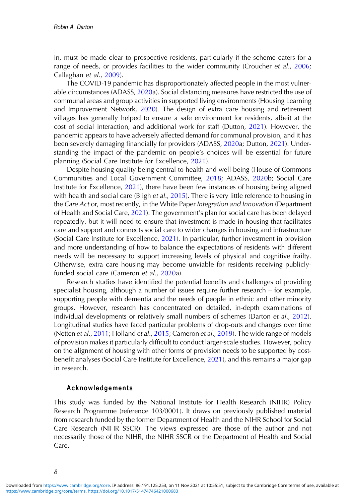in, must be made clear to prospective residents, particularly if the scheme caters for a range of needs, or provides facilities to the wider community (Croucher et al., 2006; Callaghan et al., 2009).

The COVID-19 pandemic has disproportionately affected people in the most vulnerable circumstances (ADASS, 2020a). Social distancing measures have restricted the use of communal areas and group activities in supported living environments (Housing Learning and Improvement Network, 2020). The design of extra care housing and retirement villages has generally helped to ensure a safe environment for residents, albeit at the cost of social interaction, and additional work for staff (Dutton, 2021). However, the pandemic appears to have adversely affected demand for communal provision, and it has been severely damaging financially for providers (ADASS, 2020a; Dutton, 2021). Understanding the impact of the pandemic on people's choices will be essential for future planning (Social Care Institute for Excellence, 2021).

Despite housing quality being central to health and well-being (House of Commons Communities and Local Government Committee, 2018; ADASS, 2020b; Social Care Institute for Excellence, 2021), there have been few instances of housing being aligned with health and social care (Bligh et al., 2015). There is very little reference to housing in the Care Act or, most recently, in the White Paper Integration and Innovation (Department of Health and Social Care, 2021). The government's plan for social care has been delayed repeatedly, but it will need to ensure that investment is made in housing that facilitates care and support and connects social care to wider changes in housing and infrastructure (Social Care Institute for Excellence, 2021). In particular, further investment in provision and more understanding of how to balance the expectations of residents with different needs will be necessary to support increasing levels of physical and cognitive frailty. Otherwise, extra care housing may become unviable for residents receiving publiclyfunded social care (Cameron et al., 2020a).

Research studies have identified the potential benefits and challenges of providing specialist housing, although a number of issues require further research – for example, supporting people with dementia and the needs of people in ethnic and other minority groups. However, research has concentrated on detailed, in-depth examinations of individual developments or relatively small numbers of schemes (Darton et al., 2012). Longitudinal studies have faced particular problems of drop-outs and changes over time (Netten et al., 2011; Holland et al., 2015; Cameron et al., 2019). The wide range of models of provision makes it particularly difficult to conduct larger-scale studies. However, policy on the alignment of housing with other forms of provision needs to be supported by costbenefit analyses (Social Care Institute for Excellence, 2021), and this remains a major gap in research.

#### Acknowledgements

This study was funded by the National Institute for Health Research (NIHR) Policy Research Programme (reference 103/0001). It draws on previously published material from research funded by the former Department of Health and the NIHR School for Social Care Research (NIHR SSCR). The views expressed are those of the author and not necessarily those of the NIHR, the NIHR SSCR or the Department of Health and Social Care.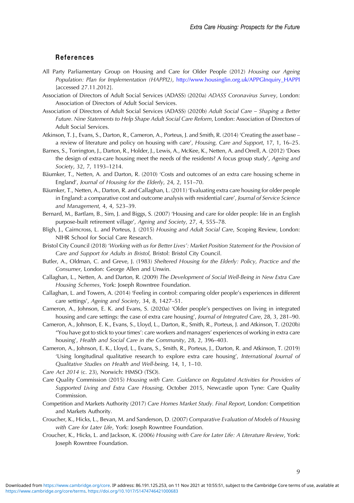#### References

- All Party Parliamentary Group on Housing and Care for Older People (2012) Housing our Ageing Population: Plan for Implementation (HAPPI2), [http://www.housinglin.org.uk/APPGInquiry\\_HAPPI](http://www.housinglin.org.uk/APPGInquiry_HAPPI) [accessed 27.11.2012].
- Association of Directors of Adult Social Services (ADASS) (2020a) ADASS Coronavirus Survey, London: Association of Directors of Adult Social Services.
- Association of Directors of Adult Social Services (ADASS) (2020b) Adult Social Care Shaping a Better Future. Nine Statements to Help Shape Adult Social Care Reform, London: Association of Directors of Adult Social Services.
- Atkinson, T. J., Evans, S., Darton, R., Cameron, A., Porteus, J. and Smith, R. (2014) 'Creating the asset base a review of literature and policy on housing with care', Housing, Care and Support, 17, 1, 16–25.
- Barnes, S., Torrington, J., Darton, R., Holder, J., Lewis, A., McKee, K., Netten, A. and Orrell, A. (2012) 'Does the design of extra-care housing meet the needs of the residents? A focus group study', Ageing and Society, 32, 7, 1193–1214.
- Bäumker, T., Netten, A. and Darton, R. (2010) 'Costs and outcomes of an extra care housing scheme in England', Journal of Housing for the Elderly, 24, 2, 151–70.
- Bäumker, T., Netten, A., Darton, R. and Callaghan, L. (2011) 'Evaluating extra care housing for older people in England: a comparative cost and outcome analysis with residential care', Journal of Service Science and Management, 4, 4, 523–39.
- Bernard, M., Bartlam, B., Sim, J. and Biggs, S. (2007) 'Housing and care for older people: life in an English purpose-built retirement village', Ageing and Society, 27, 4, 555–78.
- Bligh, J., Cairncross, L. and Porteus, J. (2015) Housing and Adult Social Care, Scoping Review, London: NIHR School for Social Care Research.
- Bristol City Council (2018) 'Working with us for Better Lives': Market Position Statement for the Provision of Care and Support for Adults in Bristol, Bristol: Bristol City Council.
- Butler, A., Oldman, C. and Greve, J. (1983) Sheltered Housing for the Elderly: Policy, Practice and the Consumer, London: George Allen and Unwin.
- Callaghan, L., Netten, A. and Darton, R. (2009) The Development of Social Well-Being in New Extra Care Housing Schemes, York: Joseph Rowntree Foundation.
- Callaghan, L. and Towers, A. (2014) 'Feeling in control: comparing older people's experiences in different care settings', Ageing and Society, 34, 8, 1427–51.
- Cameron, A., Johnson, E. K. and Evans, S. (2020a) 'Older people's perspectives on living in integrated housing and care settings: the case of extra care housing', Journal of Integrated Care, 28, 3, 281–90.
- Cameron, A., Johnson, E. K., Evans, S., Lloyd, L., Darton, R., Smith, R., Porteus, J. and Atkinson, T. (2020b) "You have got to stick to your times': care workers and managers' experiences of working in extra care housing', Health and Social Care in the Community, 28, 2, 396–403.
- Cameron, A., Johnson, E. K., Lloyd, L., Evans, S., Smith, R., Porteus, J., Darton, R. and Atkinson, T. (2019) 'Using longitudinal qualitative research to explore extra care housing', International Journal of Qualitative Studies on Health and Well-being, 14, 1, 1–10.
- Care Act 2014 (c. 23), Norwich: HMSO (TSO).
- Care Quality Commission (2015) Housing with Care. Guidance on Regulated Activities for Providers of Supported Living and Extra Care Housing, October 2015, Newcastle upon Tyne: Care Quality Commission.
- Competition and Markets Authority (2017) Care Homes Market Study. Final Report, London: Competition and Markets Authority.
- Croucher, K., Hicks, L., Bevan, M. and Sanderson, D. (2007) Comparative Evaluation of Models of Housing with Care for Later Life, York: Joseph Rowntree Foundation.
- Croucher, K., Hicks, L. and Jackson, K. (2006) Housing with Care for Later Life: A Literature Review, York: Joseph Rowntree Foundation.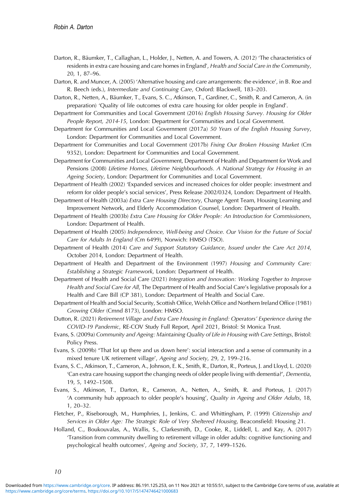- Darton, R., Bäumker, T., Callaghan, L., Holder, J., Netten, A. and Towers, A. (2012) 'The characteristics of residents in extra care housing and care homes in England', Health and Social Care in the Community, 20, 1, 87–96.
- Darton, R. and Muncer, A. (2005) 'Alternative housing and care arrangements: the evidence', in B. Roe and R. Beech (eds.), Intermediate and Continuing Care, Oxford: Blackwell, 183–203.
- Darton, R., Netten, A., Bäumker, T., Evans, S. C., Atkinson, T., Gardiner, C., Smith, R. and Cameron, A. (in preparation) 'Quality of life outcomes of extra care housing for older people in England'.
- Department for Communities and Local Government (2016) English Housing Survey. Housing for Older People Report, 2014-15, London: Department for Communities and Local Government.
- Department for Communities and Local Government (2017a) 50 Years of the English Housing Survey, London: Department for Communities and Local Government.
- Department for Communities and Local Government (2017b) Fixing Our Broken Housing Market (Cm 9352), London: Department for Communities and Local Government.
- Department for Communities and Local Government, Department of Health and Department for Work and Pensions (2008) Lifetime Homes, Lifetime Neighbourhoods. A National Strategy for Housing in an Ageing Society, London: Department for Communities and Local Government.
- Department of Health (2002) 'Expanded services and increased choices for older people: investment and reform for older people's social services', Press Release 2002/0324, London: Department of Health.
- Department of Health (2003a) Extra Care Housing Directory, Change Agent Team, Housing Learning and Improvement Network, and Elderly Accommodation Counsel, London: Department of Health.
- Department of Health (2003b) Extra Care Housing for Older People: An Introduction for Commissioners, London: Department of Health.
- Department of Health (2005) Independence, Well-being and Choice. Our Vision for the Future of Social Care for Adults In England (Cm 6499), Norwich: HMSO (TSO).
- Department of Health (2014) Care and Support Statutory Guidance, Issued under the Care Act 2014, October 2014, London: Department of Health.
- Department of Health and Department of the Environment (1997) Housing and Community Care: Establishing a Strategic Framework, London: Department of Health.
- Department of Health and Social Care (2021) Integration and Innovation: Working Together to Improve Health and Social Care for All, The Department of Health and Social Care's legislative proposals for a Health and Care Bill (CP 381), London: Department of Health and Social Care.
- Department of Health and Social Security, Scottish Office, Welsh Office and Northern Ireland Office (1981) Growing Older (Cmnd 8173), London: HMSO.
- Dutton, R. (2021) Retirement Village and Extra Care Housing in England: Operators' Experience during the COVID-19 Pandemic, RE-COV Study Full Report, April 2021, Bristol: St Monica Trust.
- Evans, S. (2009a) Community and Ageing: Maintaining Quality of Life in Housing with Care Settings, Bristol: Policy Press.
- Evans, S. (2009b) "That lot up there and us down here': social interaction and a sense of community in a mixed tenure UK retirement village', Ageing and Society, 29, 2, 199–216.
- Evans, S. C., Atkinson, T., Cameron, A., Johnson, E. K., Smith, R., Darton, R., Porteus, J. and Lloyd, L. (2020) 'Can extra care housing support the changing needs of older people living with dementia?', Dementia, 19, 5, 1492–1508.
- Evans, S., Atkinson, T., Darton, R., Cameron, A., Netten, A., Smith, R. and Porteus, J. (2017) 'A community hub approach to older people's housing', Quality in Ageing and Older Adults, 18, 1, 20–32.
- Fletcher, P., Riseborough, M., Humphries, J., Jenkins, C. and Whittingham, P. (1999) Citizenship and Services in Older Age: The Strategic Role of Very Sheltered Housing, Beaconsfield: Housing 21.
- Holland, C., Boukouvalas, A., Wallis, S., Clarkesmith, D., Cooke, R., Liddell, L. and Kay, A. (2017) 'Transition from community dwelling to retirement village in older adults: cognitive functioning and psychological health outcomes', Ageing and Society, 37, 7, 1499–1526.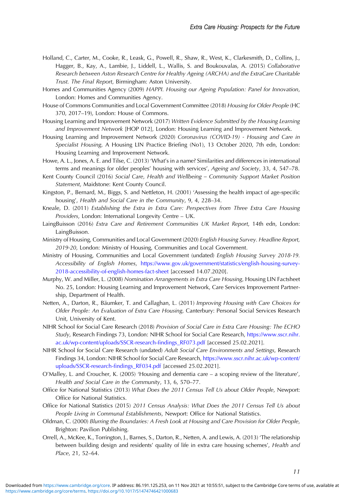- Holland, C., Carter, M., Cooke, R., Leask, G., Powell, R., Shaw, R., West, K., Clarkesmith, D., Collins, J., Hagger, B., Kay, A., Lambie, J., Liddell, L., Wallis, S. and Boukouvalas, A. (2015) Collaborative Research between Aston Research Centre for Healthy Ageing (ARCHA) and the ExtraCare Charitable Trust. The Final Report, Birmingham: Aston University.
- Homes and Communities Agency (2009) HAPPI. Housing our Ageing Population: Panel for Innovation, London: Homes and Communities Agency.
- House of Commons Communities and Local Government Committee (2018) Housing for Older People (HC 370, 2017–19), London: House of Commons.
- Housing Learning and Improvement Network (2017) Written Evidence Submitted by the Housing Learning and Improvement Network [HOP 012], London: Housing Learning and Improvement Network.
- Housing Learning and Improvement Network (2020) Coronavirus (COVID-19) Housing and Care in Specialist Housing, A Housing LIN Practice Briefing (No1), 13 October 2020, 7th edn, London: Housing Learning and Improvement Network.
- Howe, A. L., Jones, A. E. and Tilse, C. (2013) 'What's in a name? Similarities and differences in international terms and meanings for older peoples' housing with services', Ageing and Society, 33, 4, 547–78.
- Kent County Council (2016) Social Care, Health and Wellbeing Community Support Market Position Statement, Maidstone: Kent County Council.
- Kingston, P., Bernard, M., Biggs, S. and Nettleton, H. (2001) 'Assessing the health impact of age-specific housing', Health and Social Care in the Community, 9, 4, 228–34.
- Kneale, D. (2011) Establishing the Extra in Extra Care: Perspectives from Three Extra Care Housing Providers, London: International Longevity Centre – UK.
- LaingBuisson (2016) Extra Care and Retirement Communities UK Market Report, 14th edn, London: LaingBuisson.
- Ministry of Housing, Communities and Local Government (2020) English Housing Survey. Headline Report, 2019-20, London: Ministry of Housing, Communities and Local Government.
- Ministry of Housing, Communities and Local Government (undated) English Housing Survey 2018-19. Accessibility of English Homes, [https://www.gov.uk/government/statistics/english-housing-survey-](https://www.gov.uk/government/statistics/english-housing-survey-2018-accessibility-of-english-homes-fact-sheet)[2018-accessibility-of-english-homes-fact-sheet](https://www.gov.uk/government/statistics/english-housing-survey-2018-accessibility-of-english-homes-fact-sheet) [accessed 14.07.2020].
- Murphy, W. and Miller, L. (2008) Nomination Arrangements in Extra Care Housing, Housing LIN Factsheet No. 25, London: Housing Learning and Improvement Network, Care Services Improvement Partnership, Department of Health.
- Netten, A., Darton, R., Bäumker, T. and Callaghan, L. (2011) Improving Housing with Care Choices for Older People: An Evaluation of Extra Care Housing, Canterbury: Personal Social Services Research Unit, University of Kent.
- NIHR School for Social Care Research (2018) Provision of Social Care in Extra Care Housing: The ECHO Study, Research Findings 73, London: NIHR School for Social Care Research, [https://www.sscr.nihr.](https://www.sscr.nihr.ac.uk/wp-content/uploads/SSCR-research-findings_RF073.pdf) [ac.uk/wp-content/uploads/SSCR-research-](https://www.sscr.nihr.ac.uk/wp-content/uploads/SSCR-research-findings_RF073.pdf)findings\_RF073.pdf [accessed 25.02.2021].
- NIHR School for Social Care Research (undated) Adult Social Care Environments and Settings, Research Findings 34, London: NIHR School for Social Care Research, [https://www.sscr.nihr.ac.uk/wp-content/](https://www.sscr.nihr.ac.uk/wp-content/uploads/SSCR-research-findings_RF034.pdf) [uploads/SSCR-research-](https://www.sscr.nihr.ac.uk/wp-content/uploads/SSCR-research-findings_RF034.pdf)findings\_RF034.pdf [accessed 25.02.2021].
- O'Malley, L. and Croucher, K. (2005) 'Housing and dementia care a scoping review of the literature', Health and Social Care in the Community, 13, 6, 570–77.
- Office for National Statistics (2013) What Does the 2011 Census Tell Us about Older People, Newport: Office for National Statistics.
- Office for National Statistics (2015) 2011 Census Analysis: What Does the 2011 Census Tell Us about People Living in Communal Establishments, Newport: Office for National Statistics.
- Oldman, C. (2000) Blurring the Boundaries: A Fresh Look at Housing and Care Provision for Older People, Brighton: Pavilion Publishing.
- Orrell, A., McKee, K., Torrington, J., Barnes, S., Darton, R., Netten, A. and Lewis, A. (2013) 'The relationship between building design and residents' quality of life in extra care housing schemes', Health and Place, 21, 52–64.